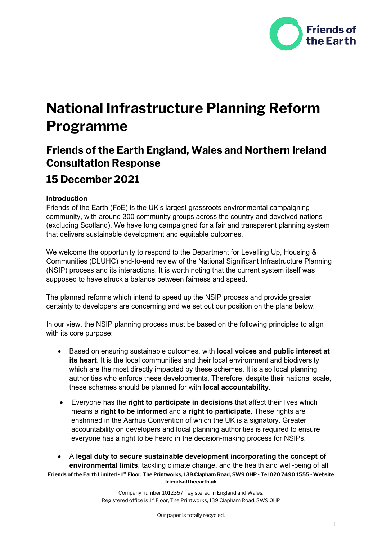

# **National Infrastructure Planning Reform Programme**

# **Friends of the Earth England, Wales and Northern Ireland Consultation Response**

# **15 December 2021**

# **Introduction**

Friends of the Earth (FoE) is the UK's largest grassroots environmental campaigning community, with around 300 community groups across the country and devolved nations (excluding Scotland). We have long campaigned for a fair and transparent planning system that delivers sustainable development and equitable outcomes.

We welcome the opportunity to respond to the Department for Levelling Up, Housing & Communities (DLUHC) end-to-end review of the National Significant Infrastructure Planning (NSIP) process and its interactions. It is worth noting that the current system itself was supposed to have struck a balance between fairness and speed.

The planned reforms which intend to speed up the NSIP process and provide greater certainty to developers are concerning and we set out our position on the plans below.

In our view, the NSIP planning process must be based on the following principles to align with its core purpose:

- Based on ensuring sustainable outcomes, with **local voices and public interest at its heart**. It is the local communities and their local environment and biodiversity which are the most directly impacted by these schemes. It is also local planning authorities who enforce these developments. Therefore, despite their national scale, these schemes should be planned for with **local accountability**.
- Everyone has the **right to participate in decisions** that affect their lives which means a **right to be informed** and a **right to participate**. These rights are enshrined in the Aarhus Convention of which the UK is a signatory. Greater accountability on developers and local planning authorities is required to ensure everyone has a right to be heard in the decision-making process for NSIPs.
- **Friends of the Earth Limited 1st Floor, The Printworks, 139 Clapham Road, SW9 0HP Tel 020 7490 1555 Website friendsoftheearth.uk** • A **legal duty to secure sustainable development incorporating the concept of environmental limits**, tackling climate change, and the health and well-being of all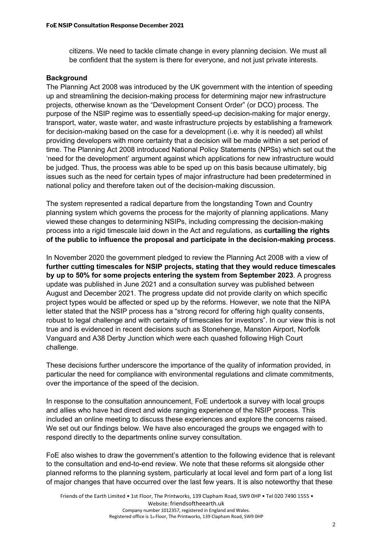citizens. We need to tackle climate change in every planning decision. We must all be confident that the system is there for everyone, and not just private interests.

#### **Background**

The Planning Act 2008 was introduced by the UK government with the intention of speeding up and streamlining the decision-making process for determining major new infrastructure projects, otherwise known as the "Development Consent Order" (or DCO) process. The purpose of the NSIP regime was to essentially speed-up decision-making for major energy, transport, water, waste water, and waste infrastructure projects by establishing a framework for decision-making based on the case for a development (i.e. why it is needed) all whilst providing developers with more certainty that a decision will be made within a set period of time. The Planning Act 2008 introduced National Policy Statements (NPSs) which set out the 'need for the development' argument against which applications for new infrastructure would be judged. Thus, the process was able to be sped up on this basis because ultimately, big issues such as the need for certain types of major infrastructure had been predetermined in national policy and therefore taken out of the decision-making discussion.

The system represented a radical departure from the longstanding Town and Country planning system which governs the process for the majority of planning applications. Many viewed these changes to determining NSIPs, including compressing the decision-making process into a rigid timescale laid down in the Act and regulations, as **curtailing the rights of the public to influence the proposal and participate in the decision-making process**.

In November 2020 the government pledged to review the Planning Act 2008 with a view of **further cutting timescales for NSIP projects, stating that they would reduce timescales by up to 50% for some projects entering the system from September 2023**. A progress update was published in June 2021 and a consultation survey was published between August and December 2021. The progress update did not provide clarity on which specific project types would be affected or sped up by the reforms. However, we note that the NIPA letter stated that the NSIP process has a "strong record for offering high quality consents, robust to legal challenge and with certainty of timescales for investors". In our view this is not true and is evidenced in recent decisions such as Stonehenge, Manston Airport, Norfolk Vanguard and A38 Derby Junction which were each quashed following High Court challenge.

These decisions further underscore the importance of the quality of information provided, in particular the need for compliance with environmental regulations and climate commitments, over the importance of the speed of the decision.

In response to the consultation announcement, FoE undertook a survey with local groups and allies who have had direct and wide ranging experience of the NSIP process. This included an online meeting to discuss these experiences and explore the concerns raised. We set out our findings below. We have also encouraged the groups we engaged with to respond directly to the departments online survey consultation.

FoE also wishes to draw the government's attention to the following evidence that is relevant to the consultation and end-to-end review. We note that these reforms sit alongside other planned reforms to the planning system, particularly at local level and form part of a long list of major changes that have occurred over the last few years. It is also noteworthy that these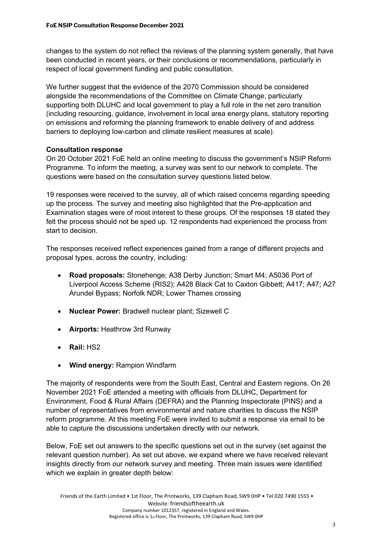changes to the system do not reflect the reviews of the planning system generally, that have been conducted in recent years, or their conclusions or recommendations, particularly in respect of local government funding and public consultation.

We further suggest that the evidence of the 2070 Commission should be considered alongside the recommendations of the Committee on Climate Change, particularly supporting both DLUHC and local government to play a full role in the net zero transition (including resourcing, guidance, involvement in local area energy plans, statutory reporting on emissions and reforming the planning framework to enable delivery of and address barriers to deploying low-carbon and climate resilient measures at scale).

# **Consultation response**

On 20 October 2021 FoE held an online meeting to discuss the government's NSIP Reform Programme. To inform the meeting, a survey was sent to our network to complete. The questions were based on the consultation survey questions listed below.

19 responses were received to the survey, all of which raised concerns regarding speeding up the process. The survey and meeting also highlighted that the Pre-application and Examination stages were of most interest to these groups. Of the responses 18 stated they felt the process should not be sped up. 12 respondents had experienced the process from start to decision.

The responses received reflect experiences gained from a range of different projects and proposal types, across the country, including:

- **Road proposals:** Stonehenge; A38 Derby Junction; Smart M4; A5036 Port of Liverpool Access Scheme (RIS2); A428 Black Cat to Caxton Gibbett; A417; A47; A27 Arundel Bypass; Norfolk NDR; Lower Thames crossing
- **Nuclear Power:** Bradwell nuclear plant; Sizewell C
- **Airports:** Heathrow 3rd Runway
- **Rail:** HS2
- **Wind energy:** Rampion Windfarm

The majority of respondents were from the South East, Central and Eastern regions. On 26 November 2021 FoE attended a meeting with officials from DLUHC, Department for Environment, Food & Rural Affairs (DEFRA) and the Planning Inspectorate (PINS) and a number of representatives from environmental and nature charities to discuss the NSIP reform programme. At this meeting FoE were invited to submit a response via email to be able to capture the discussions undertaken directly with our network.

Below, FoE set out answers to the specific questions set out in the survey (set against the relevant question number). As set out above, we expand where we have received relevant insights directly from our network survey and meeting. Three main issues were identified which we explain in greater depth below: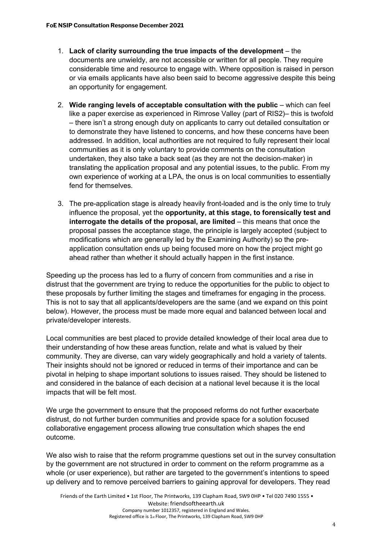- 1. **Lack of clarity surrounding the true impacts of the development** the documents are unwieldy, are not accessible or written for all people. They require considerable time and resource to engage with. Where opposition is raised in person or via emails applicants have also been said to become aggressive despite this being an opportunity for engagement.
- 2. **Wide ranging levels of acceptable consultation with the public** which can feel like a paper exercise as experienced in Rimrose Valley (part of RIS2)– this is twofold – there isn't a strong enough duty on applicants to carry out detailed consultation or to demonstrate they have listened to concerns, and how these concerns have been addressed. In addition, local authorities are not required to fully represent their local communities as it is only voluntary to provide comments on the consultation undertaken, they also take a back seat (as they are not the decision-maker) in translating the application proposal and any potential issues, to the public. From my own experience of working at a LPA, the onus is on local communities to essentially fend for themselves.
- 3. The pre-application stage is already heavily front-loaded and is the only time to truly influence the proposal, yet the **opportunity, at this stage, to forensically test and interrogate the details of the proposal, are limited** – this means that once the proposal passes the acceptance stage, the principle is largely accepted (subject to modifications which are generally led by the Examining Authority) so the preapplication consultation ends up being focused more on how the project might go ahead rather than whether it should actually happen in the first instance.

Speeding up the process has led to a flurry of concern from communities and a rise in distrust that the government are trying to reduce the opportunities for the public to object to these proposals by further limiting the stages and timeframes for engaging in the process. This is not to say that all applicants/developers are the same (and we expand on this point below). However, the process must be made more equal and balanced between local and private/developer interests.

Local communities are best placed to provide detailed knowledge of their local area due to their understanding of how these areas function, relate and what is valued by their community. They are diverse, can vary widely geographically and hold a variety of talents. Their insights should not be ignored or reduced in terms of their importance and can be pivotal in helping to shape important solutions to issues raised. They should be listened to and considered in the balance of each decision at a national level because it is the local impacts that will be felt most.

We urge the government to ensure that the proposed reforms do not further exacerbate distrust, do not further burden communities and provide space for a solution focused collaborative engagement process allowing true consultation which shapes the end outcome.

We also wish to raise that the reform programme questions set out in the survey consultation by the government are not structured in order to comment on the reform programme as a whole (or user experience), but rather are targeted to the government's intentions to speed up delivery and to remove perceived barriers to gaining approval for developers. They read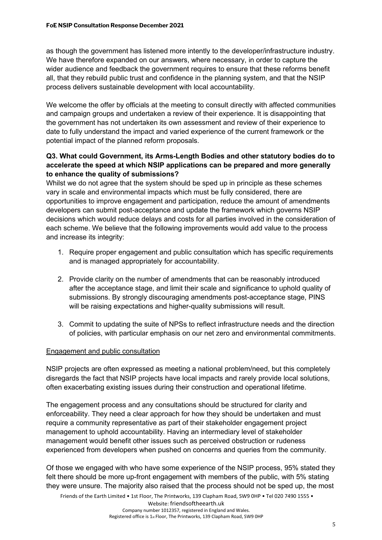as though the government has listened more intently to the developer/infrastructure industry. We have therefore expanded on our answers, where necessary, in order to capture the wider audience and feedback the government requires to ensure that these reforms benefit all, that they rebuild public trust and confidence in the planning system, and that the NSIP process delivers sustainable development with local accountability.

We welcome the offer by officials at the meeting to consult directly with affected communities and campaign groups and undertaken a review of their experience. It is disappointing that the government has not undertaken its own assessment and review of their experience to date to fully understand the impact and varied experience of the current framework or the potential impact of the planned reform proposals.

# **Q3. What could Government, its Arms-Length Bodies and other statutory bodies do to accelerate the speed at which NSIP applications can be prepared and more generally to enhance the quality of submissions?**

Whilst we do not agree that the system should be sped up in principle as these schemes vary in scale and environmental impacts which must be fully considered, there are opportunities to improve engagement and participation, reduce the amount of amendments developers can submit post-acceptance and update the framework which governs NSIP decisions which would reduce delays and costs for all parties involved in the consideration of each scheme. We believe that the following improvements would add value to the process and increase its integrity:

- 1. Require proper engagement and public consultation which has specific requirements and is managed appropriately for accountability.
- 2. Provide clarity on the number of amendments that can be reasonably introduced after the acceptance stage, and limit their scale and significance to uphold quality of submissions. By strongly discouraging amendments post-acceptance stage, PINS will be raising expectations and higher-quality submissions will result.
- 3. Commit to updating the suite of NPSs to reflect infrastructure needs and the direction of policies, with particular emphasis on our net zero and environmental commitments.

#### Engagement and public consultation

NSIP projects are often expressed as meeting a national problem/need, but this completely disregards the fact that NSIP projects have local impacts and rarely provide local solutions, often exacerbating existing issues during their construction and operational lifetime.

The engagement process and any consultations should be structured for clarity and enforceability. They need a clear approach for how they should be undertaken and must require a community representative as part of their stakeholder engagement project management to uphold accountability. Having an intermediary level of stakeholder management would benefit other issues such as perceived obstruction or rudeness experienced from developers when pushed on concerns and queries from the community.

Of those we engaged with who have some experience of the NSIP process, 95% stated they felt there should be more up-front engagement with members of the public, with 5% stating they were unsure. The majority also raised that the process should not be sped up, the most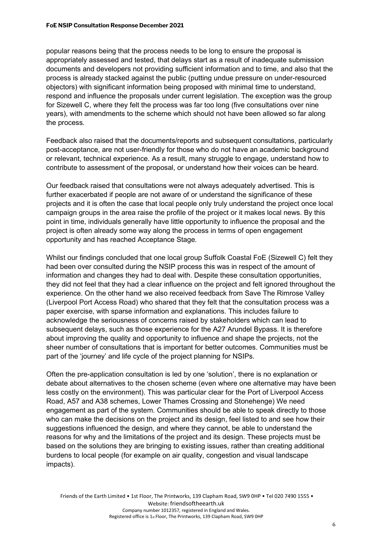popular reasons being that the process needs to be long to ensure the proposal is appropriately assessed and tested, that delays start as a result of inadequate submission documents and developers not providing sufficient information and to time, and also that the process is already stacked against the public (putting undue pressure on under-resourced objectors) with significant information being proposed with minimal time to understand, respond and influence the proposals under current legislation. The exception was the group for Sizewell C, where they felt the process was far too long (five consultations over nine years), with amendments to the scheme which should not have been allowed so far along the process.

Feedback also raised that the documents/reports and subsequent consultations, particularly post-acceptance, are not user-friendly for those who do not have an academic background or relevant, technical experience. As a result, many struggle to engage, understand how to contribute to assessment of the proposal, or understand how their voices can be heard.

Our feedback raised that consultations were not always adequately advertised. This is further exacerbated if people are not aware of or understand the significance of these projects and it is often the case that local people only truly understand the project once local campaign groups in the area raise the profile of the project or it makes local news. By this point in time, individuals generally have little opportunity to influence the proposal and the project is often already some way along the process in terms of open engagement opportunity and has reached Acceptance Stage.

Whilst our findings concluded that one local group Suffolk Coastal FoE (Sizewell C) felt they had been over consulted during the NSIP process this was in respect of the amount of information and changes they had to deal with. Despite these consultation opportunities, they did not feel that they had a clear influence on the project and felt ignored throughout the experience. On the other hand we also received feedback from Save The Rimrose Valley (Liverpool Port Access Road) who shared that they felt that the consultation process was a paper exercise, with sparse information and explanations. This includes failure to acknowledge the seriousness of concerns raised by stakeholders which can lead to subsequent delays, such as those experience for the A27 Arundel Bypass. It is therefore about improving the quality and opportunity to influence and shape the projects, not the sheer number of consultations that is important for better outcomes. Communities must be part of the 'journey' and life cycle of the project planning for NSIPs.

Often the pre-application consultation is led by one 'solution', there is no explanation or debate about alternatives to the chosen scheme (even where one alternative may have been less costly on the environment). This was particular clear for the Port of Liverpool Access Road, A57 and A38 schemes, Lower Thames Crossing and Stonehenge) We need engagement as part of the system. Communities should be able to speak directly to those who can make the decisions on the project and its design, feel listed to and see how their suggestions influenced the design, and where they cannot, be able to understand the reasons for why and the limitations of the project and its design. These projects must be based on the solutions they are bringing to existing issues, rather than creating additional burdens to local people (for example on air quality, congestion and visual landscape impacts).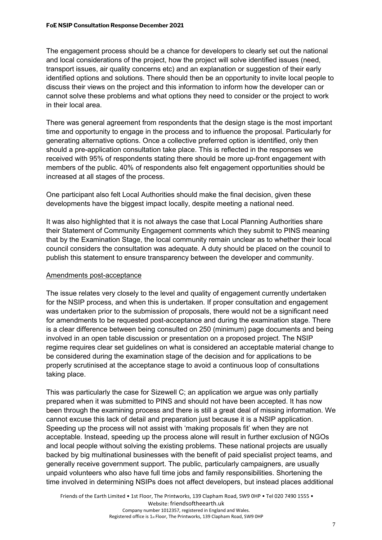The engagement process should be a chance for developers to clearly set out the national and local considerations of the project, how the project will solve identified issues (need, transport issues, air quality concerns etc) and an explanation or suggestion of their early identified options and solutions. There should then be an opportunity to invite local people to discuss their views on the project and this information to inform how the developer can or cannot solve these problems and what options they need to consider or the project to work in their local area.

There was general agreement from respondents that the design stage is the most important time and opportunity to engage in the process and to influence the proposal. Particularly for generating alternative options. Once a collective preferred option is identified, only then should a pre-application consultation take place. This is reflected in the responses we received with 95% of respondents stating there should be more up-front engagement with members of the public. 40% of respondents also felt engagement opportunities should be increased at all stages of the process.

One participant also felt Local Authorities should make the final decision, given these developments have the biggest impact locally, despite meeting a national need.

It was also highlighted that it is not always the case that Local Planning Authorities share their Statement of Community Engagement comments which they submit to PINS meaning that by the Examination Stage, the local community remain unclear as to whether their local council considers the consultation was adequate. A duty should be placed on the council to publish this statement to ensure transparency between the developer and community.

#### Amendments post-acceptance

The issue relates very closely to the level and quality of engagement currently undertaken for the NSIP process, and when this is undertaken. If proper consultation and engagement was undertaken prior to the submission of proposals, there would not be a significant need for amendments to be requested post-acceptance and during the examination stage. There is a clear difference between being consulted on 250 (minimum) page documents and being involved in an open table discussion or presentation on a proposed project. The NSIP regime requires clear set guidelines on what is considered an acceptable material change to be considered during the examination stage of the decision and for applications to be properly scrutinised at the acceptance stage to avoid a continuous loop of consultations taking place.

This was particularly the case for Sizewell C; an application we argue was only partially prepared when it was submitted to PINS and should not have been accepted. It has now been through the examining process and there is still a great deal of missing information. We cannot excuse this lack of detail and preparation just because it is a NSIP application. Speeding up the process will not assist with 'making proposals fit' when they are not acceptable. Instead, speeding up the process alone will result in further exclusion of NGOs and local people without solving the existing problems. These national projects are usually backed by big multinational businesses with the benefit of paid specialist project teams, and generally receive government support. The public, particularly campaigners, are usually unpaid volunteers who also have full time jobs and family responsibilities. Shortening the time involved in determining NSIPs does not affect developers, but instead places additional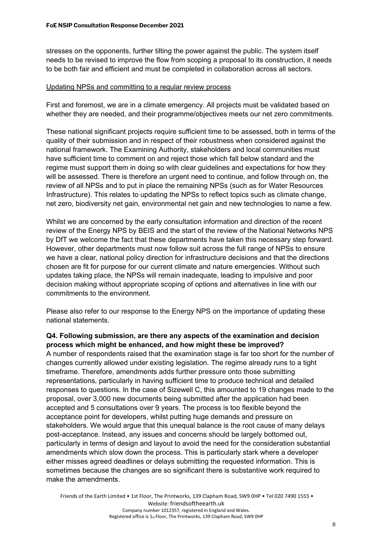stresses on the opponents, further tilting the power against the public. The system itself needs to be revised to improve the flow from scoping a proposal to its construction, it needs to be both fair and efficient and must be completed in collaboration across all sectors.

#### Updating NPSs and committing to a regular review process

First and foremost, we are in a climate emergency. All projects must be validated based on whether they are needed, and their programme/objectives meets our net zero commitments.

These national significant projects require sufficient time to be assessed, both in terms of the quality of their submission and in respect of their robustness when considered against the national framework. The Examining Authority, stakeholders and local communities must have sufficient time to comment on and reject those which fall below standard and the regime must support them in doing so with clear guidelines and expectations for how they will be assessed. There is therefore an urgent need to continue, and follow through on, the review of all NPSs and to put in place the remaining NPSs (such as for Water Resources Infrastructure). This relates to updating the NPSs to reflect topics such as climate change, net zero, biodiversity net gain, environmental net gain and new technologies to name a few.

Whilst we are concerned by the early consultation information and direction of the recent review of the Energy NPS by BEIS and the start of the review of the National Networks NPS by DfT we welcome the fact that these departments have taken this necessary step forward. However, other departments must now follow suit across the full range of NPSs to ensure we have a clear, national policy direction for infrastructure decisions and that the directions chosen are fit for purpose for our current climate and nature emergencies. Without such updates taking place, the NPSs will remain inadequate, leading to impulsive and poor decision making without appropriate scoping of options and alternatives in line with our commitments to the environment.

Please also refer to our response to the Energy NPS on the importance of updating these national statements.

# **Q4. Following submission, are there any aspects of the examination and decision process which might be enhanced, and how might these be improved?**

A number of respondents raised that the examination stage is far too short for the number of changes currently allowed under existing legislation. The regime already runs to a tight timeframe. Therefore, amendments adds further pressure onto those submitting representations, particularly in having sufficient time to produce technical and detailed responses to questions. In the case of Sizewell C, this amounted to 19 changes made to the proposal, over 3,000 new documents being submitted after the application had been accepted and 5 consultations over 9 years. The process is too flexible beyond the acceptance point for developers, whilst putting huge demands and pressure on stakeholders. We would argue that this unequal balance is the root cause of many delays post-acceptance. Instead, any issues and concerns should be largely bottomed out, particularly in terms of design and layout to avoid the need for the consideration substantial amendments which slow down the process. This is particularly stark where a developer either misses agreed deadlines or delays submitting the requested information. This is sometimes because the changes are so significant there is substantive work required to make the amendments.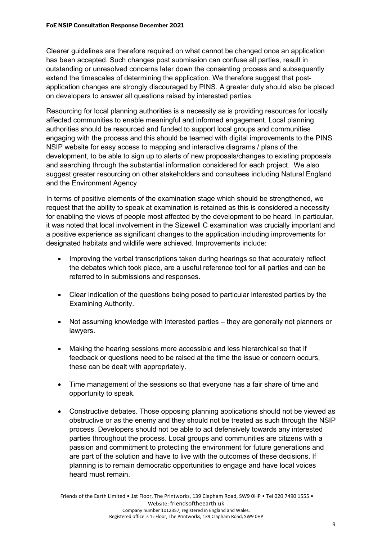Clearer guidelines are therefore required on what cannot be changed once an application has been accepted. Such changes post submission can confuse all parties, result in outstanding or unresolved concerns later down the consenting process and subsequently extend the timescales of determining the application. We therefore suggest that postapplication changes are strongly discouraged by PINS. A greater duty should also be placed on developers to answer all questions raised by interested parties.

Resourcing for local planning authorities is a necessity as is providing resources for locally affected communities to enable meaningful and informed engagement. Local planning authorities should be resourced and funded to support local groups and communities engaging with the process and this should be teamed with digital improvements to the PINS NSIP website for easy access to mapping and interactive diagrams / plans of the development, to be able to sign up to alerts of new proposals/changes to existing proposals and searching through the substantial information considered for each project. We also suggest greater resourcing on other stakeholders and consultees including Natural England and the Environment Agency.

In terms of positive elements of the examination stage which should be strengthened, we request that the ability to speak at examination is retained as this is considered a necessity for enabling the views of people most affected by the development to be heard. In particular, it was noted that local involvement in the Sizewell C examination was crucially important and a positive experience as significant changes to the application including improvements for designated habitats and wildlife were achieved. Improvements include:

- Improving the verbal transcriptions taken during hearings so that accurately reflect the debates which took place, are a useful reference tool for all parties and can be referred to in submissions and responses.
- Clear indication of the questions being posed to particular interested parties by the Examining Authority.
- Not assuming knowledge with interested parties they are generally not planners or lawyers.
- Making the hearing sessions more accessible and less hierarchical so that if feedback or questions need to be raised at the time the issue or concern occurs, these can be dealt with appropriately.
- Time management of the sessions so that everyone has a fair share of time and opportunity to speak.
- Constructive debates. Those opposing planning applications should not be viewed as obstructive or as the enemy and they should not be treated as such through the NSIP process. Developers should not be able to act defensively towards any interested parties throughout the process. Local groups and communities are citizens with a passion and commitment to protecting the environment for future generations and are part of the solution and have to live with the outcomes of these decisions. If planning is to remain democratic opportunities to engage and have local voices heard must remain.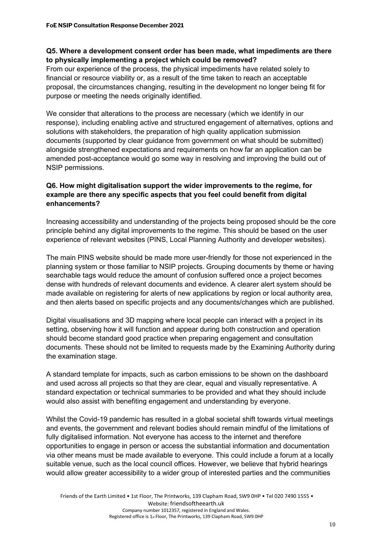# **Q5. Where a development consent order has been made, what impediments are there to physically implementing a project which could be removed?**

From our experience of the process, the physical impediments have related solely to financial or resource viability or, as a result of the time taken to reach an acceptable proposal, the circumstances changing, resulting in the development no longer being fit for purpose or meeting the needs originally identified.

We consider that alterations to the process are necessary (which we identify in our response), including enabling active and structured engagement of alternatives, options and solutions with stakeholders, the preparation of high quality application submission documents (supported by clear guidance from government on what should be submitted) alongside strengthened expectations and requirements on how far an application can be amended post-acceptance would go some way in resolving and improving the build out of NSIP permissions.

# **Q6. How might digitalisation support the wider improvements to the regime, for example are there any specific aspects that you feel could benefit from digital enhancements?**

Increasing accessibility and understanding of the projects being proposed should be the core principle behind any digital improvements to the regime. This should be based on the user experience of relevant websites (PINS, Local Planning Authority and developer websites).

The main PINS website should be made more user-friendly for those not experienced in the planning system or those familiar to NSIP projects. Grouping documents by theme or having searchable tags would reduce the amount of confusion suffered once a project becomes dense with hundreds of relevant documents and evidence. A clearer alert system should be made available on registering for alerts of new applications by region or local authority area, and then alerts based on specific projects and any documents/changes which are published.

Digital visualisations and 3D mapping where local people can interact with a project in its setting, observing how it will function and appear during both construction and operation should become standard good practice when preparing engagement and consultation documents. These should not be limited to requests made by the Examining Authority during the examination stage.

A standard template for impacts, such as carbon emissions to be shown on the dashboard and used across all projects so that they are clear, equal and visually representative. A standard expectation or technical summaries to be provided and what they should include would also assist with benefiting engagement and understanding by everyone.

Whilst the Covid-19 pandemic has resulted in a global societal shift towards virtual meetings and events, the government and relevant bodies should remain mindful of the limitations of fully digitalised information. Not everyone has access to the internet and therefore opportunities to engage in person or access the substantial information and documentation via other means must be made available to everyone. This could include a forum at a locally suitable venue, such as the local council offices. However, we believe that hybrid hearings would allow greater accessibility to a wider group of interested parties and the communities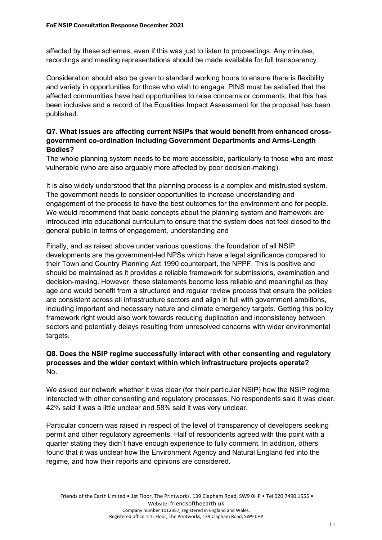affected by these schemes, even if this was just to listen to proceedings. Any minutes, recordings and meeting representations should be made available for full transparency.

Consideration should also be given to standard working hours to ensure there is flexibility and variety in opportunities for those who wish to engage. PINS must be satisfied that the affected communities have had opportunities to raise concerns or comments, that this has been inclusive and a record of the Equalities Impact Assessment for the proposal has been published.

# **Q7. What issues are affecting current NSIPs that would benefit from enhanced crossgovernment co-ordination including Government Departments and Arms-Length Bodies?**

The whole planning system needs to be more accessible, particularly to those who are most vulnerable (who are also arguably more affected by poor decision-making).

It is also widely understood that the planning process is a complex and mistrusted system. The government needs to consider opportunities to increase understanding and engagement of the process to have the best outcomes for the environment and for people. We would recommend that basic concepts about the planning system and framework are introduced into educational curriculum to ensure that the system does not feel closed to the general public in terms of engagement, understanding and

Finally, and as raised above under various questions, the foundation of all NSIP developments are the government-led NPSs which have a legal significance compared to their Town and Country Planning Act 1990 counterpart, the NPPF. This is positive and should be maintained as it provides a reliable framework for submissions, examination and decision-making. However, these statements become less reliable and meaningful as they age and would benefit from a structured and regular review process that ensure the policies are consistent across all infrastructure sectors and align in full with government ambitions, including important and necessary nature and climate emergency targets. Getting this policy framework right would also work towards reducing duplication and inconsistency between sectors and potentially delays resulting from unresolved concerns with wider environmental targets.

# **Q8. Does the NSIP regime successfully interact with other consenting and regulatory processes and the wider context within which infrastructure projects operate?** No.

We asked our network whether it was clear (for their particular NSIP) how the NSIP regime interacted with other consenting and regulatory processes. No respondents said it was clear. 42% said it was a little unclear and 58% said it was very unclear.

Particular concern was raised in respect of the level of transparency of developers seeking permit and other regulatory agreements. Half of respondents agreed with this point with a quarter stating they didn't have enough experience to fully comment. In addition, others found that it was unclear how the Environment Agency and Natural England fed into the regime, and how their reports and opinions are considered.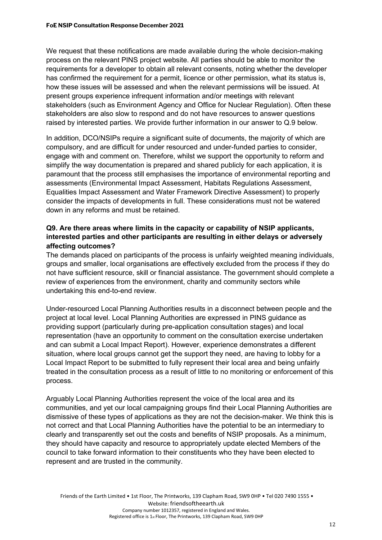We request that these notifications are made available during the whole decision-making process on the relevant PINS project website. All parties should be able to monitor the requirements for a developer to obtain all relevant consents, noting whether the developer has confirmed the requirement for a permit, licence or other permission, what its status is, how these issues will be assessed and when the relevant permissions will be issued. At present groups experience infrequent information and/or meetings with relevant stakeholders (such as Environment Agency and Office for Nuclear Regulation). Often these stakeholders are also slow to respond and do not have resources to answer questions raised by interested parties. We provide further information in our answer to Q.9 below.

In addition, DCO/NSIPs require a significant suite of documents, the majority of which are compulsory, and are difficult for under resourced and under-funded parties to consider, engage with and comment on. Therefore, whilst we support the opportunity to reform and simplify the way documentation is prepared and shared publicly for each application, it is paramount that the process still emphasises the importance of environmental reporting and assessments (Environmental Impact Assessment, Habitats Regulations Assessment, Equalities Impact Assessment and Water Framework Directive Assessment) to properly consider the impacts of developments in full. These considerations must not be watered down in any reforms and must be retained.

# **Q9. Are there areas where limits in the capacity or capability of NSIP applicants, interested parties and other participants are resulting in either delays or adversely affecting outcomes?**

The demands placed on participants of the process is unfairly weighted meaning individuals, groups and smaller, local organisations are effectively excluded from the process if they do not have sufficient resource, skill or financial assistance. The government should complete a review of experiences from the environment, charity and community sectors while undertaking this end-to-end review.

Under-resourced Local Planning Authorities results in a disconnect between people and the project at local level. Local Planning Authorities are expressed in PINS guidance as providing support (particularly during pre-application consultation stages) and local representation (have an opportunity to comment on the consultation exercise undertaken and can submit a Local Impact Report). However, experience demonstrates a different situation, where local groups cannot get the support they need, are having to lobby for a Local Impact Report to be submitted to fully represent their local area and being unfairly treated in the consultation process as a result of little to no monitoring or enforcement of this process.

Arguably Local Planning Authorities represent the voice of the local area and its communities, and yet our local campaigning groups find their Local Planning Authorities are dismissive of these types of applications as they are not the decision-maker. We think this is not correct and that Local Planning Authorities have the potential to be an intermediary to clearly and transparently set out the costs and benefits of NSIP proposals. As a minimum, they should have capacity and resource to appropriately update elected Members of the council to take forward information to their constituents who they have been elected to represent and are trusted in the community.